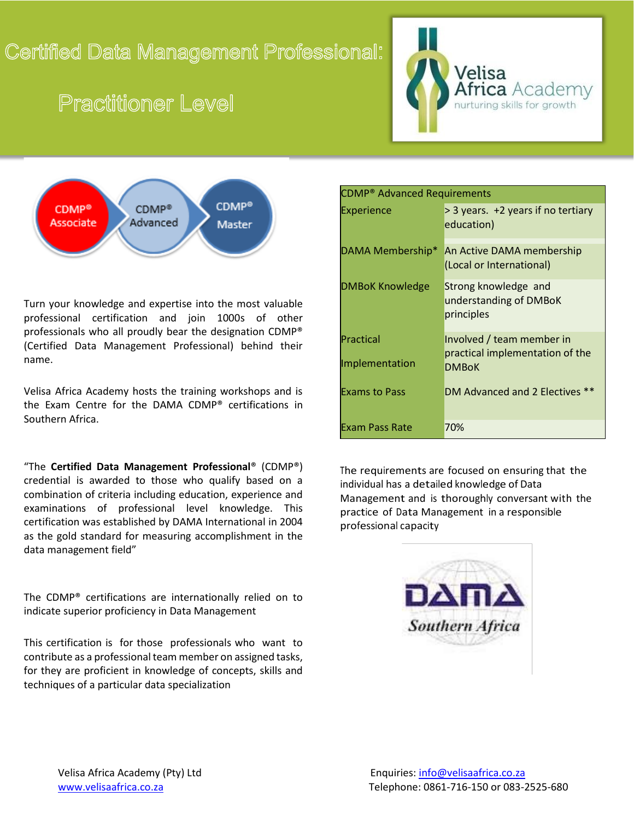## Certified Data Management Professional:

# **Practitioner Level**





Turn your knowledge and expertise into the most valuable professional certification and join 1000s of other professionals who all proudly bear the designation CDMP® (Certified Data Management Professional) behind their name.

Velisa Africa Academy hosts the training workshops and is the Exam Centre for the DAMA CDMP® certifications in Southern Africa.

"The **Certified Data Management Professional**® (CDMP®) credential is awarded to those who qualify based on a combination of criteria including education, experience and examinations of professional level knowledge. This certification was established by DAMA International in 2004 as the gold standard for measuring accomplishment in the data management field"

The CDMP® certifications are internationally relied on to indicate superior proficiency in Data Management

This certification is for those professionals who want to contribute as a professional team member on assigned tasks, for they are proficient in knowledge of concepts, skills and techniques of a particular data specialization

| <b>CDMP<sup>®</sup></b> Advanced Requirements |                                                                              |
|-----------------------------------------------|------------------------------------------------------------------------------|
| <b>Experience</b>                             | > 3 years. +2 years if no tertiary<br>education)                             |
| DAMA Membership*                              | An Active DAMA membership<br>(Local or International)                        |
| <b>DMBoK Knowledge</b>                        | Strong knowledge and<br>understanding of DMBoK<br>principles                 |
| Practical<br>Implementation                   | Involved / team member in<br>practical implementation of the<br><b>DMBoK</b> |
| <b>Exams to Pass</b>                          | DM Advanced and 2 Electives                                                  |
| <b>Exam Pass Rate</b>                         | 70%                                                                          |

The requirements are focused on ensuring that the individual has a detailed knowledge of Data Management and is thoroughly conversant with the practice of Data Management in a responsible professional capacity